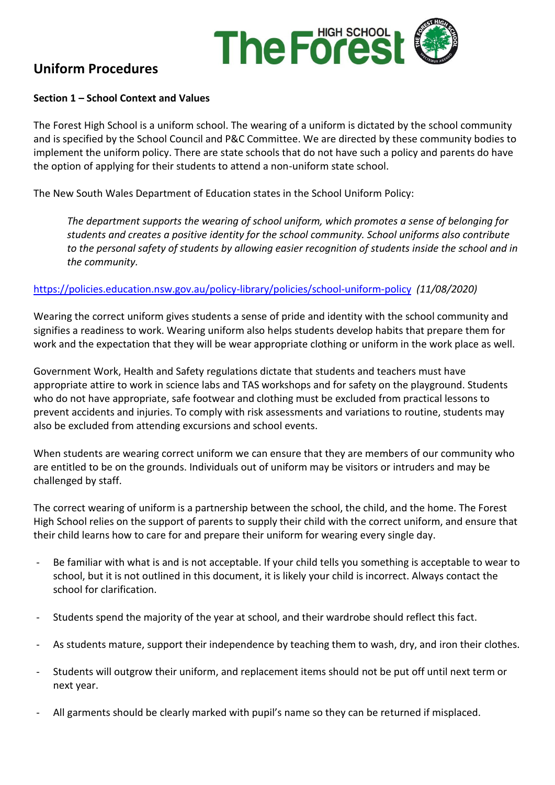

# **Uniform Procedures**

## **Section 1 – School Context and Values**

The Forest High School is a uniform school. The wearing of a uniform is dictated by the school community and is specified by the School Council and P&C Committee. We are directed by these community bodies to implement the uniform policy. There are state schools that do not have such a policy and parents do have the option of applying for their students to attend a non-uniform state school.

The New South Wales Department of Education states in the School Uniform Policy:

*The department supports the wearing of school uniform, which promotes a sense of belonging for students and creates a positive identity for the school community. School uniforms also contribute to the personal safety of students by allowing easier recognition of students inside the school and in the community.*

# <https://policies.education.nsw.gov.au/policy-library/policies/school-uniform-policy>*(11/08/2020)*

Wearing the correct uniform gives students a sense of pride and identity with the school community and signifies a readiness to work. Wearing uniform also helps students develop habits that prepare them for work and the expectation that they will be wear appropriate clothing or uniform in the work place as well.

Government Work, Health and Safety regulations dictate that students and teachers must have appropriate attire to work in science labs and TAS workshops and for safety on the playground. Students who do not have appropriate, safe footwear and clothing must be excluded from practical lessons to prevent accidents and injuries. To comply with risk assessments and variations to routine, students may also be excluded from attending excursions and school events.

When students are wearing correct uniform we can ensure that they are members of our community who are entitled to be on the grounds. Individuals out of uniform may be visitors or intruders and may be challenged by staff.

The correct wearing of uniform is a partnership between the school, the child, and the home. The Forest High School relies on the support of parents to supply their child with the correct uniform, and ensure that their child learns how to care for and prepare their uniform for wearing every single day.

- Be familiar with what is and is not acceptable. If your child tells you something is acceptable to wear to school, but it is not outlined in this document, it is likely your child is incorrect. Always contact the school for clarification.
- Students spend the majority of the year at school, and their wardrobe should reflect this fact.
- As students mature, support their independence by teaching them to wash, dry, and iron their clothes.
- Students will outgrow their uniform, and replacement items should not be put off until next term or next year.
- All garments should be clearly marked with pupil's name so they can be returned if misplaced.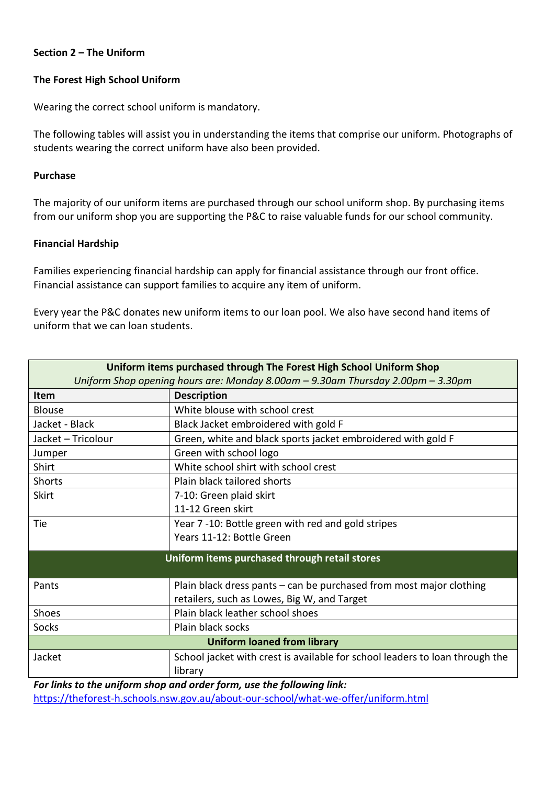# **Section 2 – The Uniform**

# **The Forest High School Uniform**

Wearing the correct school uniform is mandatory.

The following tables will assist you in understanding the items that comprise our uniform. Photographs of students wearing the correct uniform have also been provided.

#### **Purchase**

The majority of our uniform items are purchased through our school uniform shop. By purchasing items from our uniform shop you are supporting the P&C to raise valuable funds for our school community.

#### **Financial Hardship**

Families experiencing financial hardship can apply for financial assistance through our front office. Financial assistance can support families to acquire any item of uniform.

Every year the P&C donates new uniform items to our loan pool. We also have second hand items of uniform that we can loan students.

| Uniform items purchased through The Forest High School Uniform Shop             |                                                                              |  |  |  |
|---------------------------------------------------------------------------------|------------------------------------------------------------------------------|--|--|--|
| Uniform Shop opening hours are: Monday 8.00am - 9.30am Thursday 2.00pm - 3.30pm |                                                                              |  |  |  |
| <b>Item</b>                                                                     | <b>Description</b>                                                           |  |  |  |
| <b>Blouse</b>                                                                   | White blouse with school crest                                               |  |  |  |
| Jacket - Black                                                                  | Black Jacket embroidered with gold F                                         |  |  |  |
| Jacket - Tricolour                                                              | Green, white and black sports jacket embroidered with gold F                 |  |  |  |
| Jumper                                                                          | Green with school logo                                                       |  |  |  |
| Shirt                                                                           | White school shirt with school crest                                         |  |  |  |
| <b>Shorts</b>                                                                   | Plain black tailored shorts                                                  |  |  |  |
| <b>Skirt</b>                                                                    | 7-10: Green plaid skirt                                                      |  |  |  |
|                                                                                 | 11-12 Green skirt                                                            |  |  |  |
| Tie                                                                             | Year 7 -10: Bottle green with red and gold stripes                           |  |  |  |
|                                                                                 | Years 11-12: Bottle Green                                                    |  |  |  |
| Uniform items purchased through retail stores                                   |                                                                              |  |  |  |
|                                                                                 |                                                                              |  |  |  |
| Pants                                                                           | Plain black dress pants – can be purchased from most major clothing          |  |  |  |
|                                                                                 | retailers, such as Lowes, Big W, and Target                                  |  |  |  |
| Shoes                                                                           | Plain black leather school shoes                                             |  |  |  |
| <b>Socks</b>                                                                    | Plain black socks                                                            |  |  |  |
| <b>Uniform loaned from library</b>                                              |                                                                              |  |  |  |
| Jacket                                                                          | School jacket with crest is available for school leaders to loan through the |  |  |  |
|                                                                                 | library                                                                      |  |  |  |

*For links to the uniform shop and order form, use the following link:* <https://theforest-h.schools.nsw.gov.au/about-our-school/what-we-offer/uniform.html>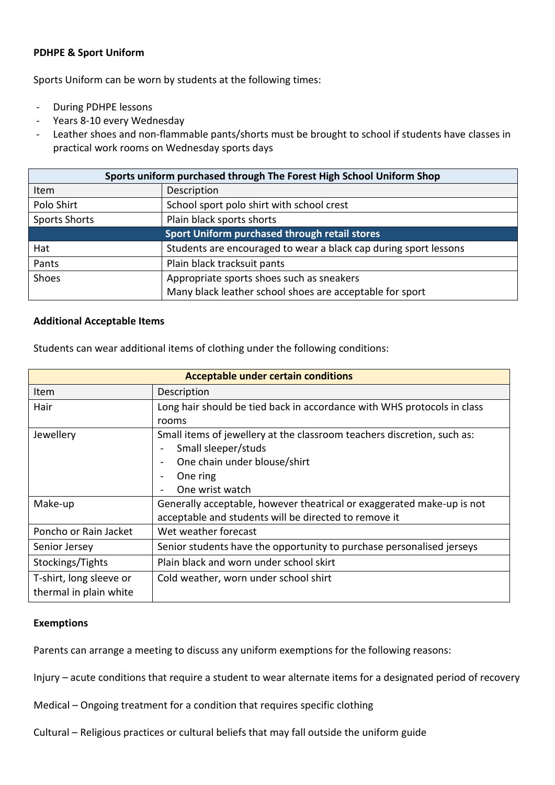# **PDHPE & Sport Uniform**

Sports Uniform can be worn by students at the following times:

- During PDHPE lessons
- Years 8-10 every Wednesday
- Leather shoes and non-flammable pants/shorts must be brought to school if students have classes in practical work rooms on Wednesday sports days

| Sports uniform purchased through The Forest High School Uniform Shop |                                                                  |  |  |
|----------------------------------------------------------------------|------------------------------------------------------------------|--|--|
| Item                                                                 | Description                                                      |  |  |
| Polo Shirt                                                           | School sport polo shirt with school crest                        |  |  |
| <b>Sports Shorts</b>                                                 | Plain black sports shorts                                        |  |  |
| Sport Uniform purchased through retail stores                        |                                                                  |  |  |
| Hat                                                                  | Students are encouraged to wear a black cap during sport lessons |  |  |
| Pants                                                                | Plain black tracksuit pants                                      |  |  |
| Shoes                                                                | Appropriate sports shoes such as sneakers                        |  |  |
|                                                                      | Many black leather school shoes are acceptable for sport         |  |  |

# **Additional Acceptable Items**

Students can wear additional items of clothing under the following conditions:

| <b>Acceptable under certain conditions</b> |                                                                         |  |  |
|--------------------------------------------|-------------------------------------------------------------------------|--|--|
| Item                                       | Description                                                             |  |  |
| Hair                                       | Long hair should be tied back in accordance with WHS protocols in class |  |  |
|                                            | rooms                                                                   |  |  |
| Jewellery                                  | Small items of jewellery at the classroom teachers discretion, such as: |  |  |
|                                            | Small sleeper/studs                                                     |  |  |
|                                            | One chain under blouse/shirt                                            |  |  |
|                                            | One ring                                                                |  |  |
|                                            | One wrist watch                                                         |  |  |
| Make-up                                    | Generally acceptable, however theatrical or exaggerated make-up is not  |  |  |
|                                            | acceptable and students will be directed to remove it                   |  |  |
| Poncho or Rain Jacket                      | Wet weather forecast                                                    |  |  |
| Senior Jersey                              | Senior students have the opportunity to purchase personalised jerseys   |  |  |
| Stockings/Tights                           | Plain black and worn under school skirt                                 |  |  |
| T-shirt, long sleeve or                    | Cold weather, worn under school shirt                                   |  |  |
| thermal in plain white                     |                                                                         |  |  |

#### **Exemptions**

Parents can arrange a meeting to discuss any uniform exemptions for the following reasons:

- Injury acute conditions that require a student to wear alternate items for a designated period of recovery
- Medical Ongoing treatment for a condition that requires specific clothing
- Cultural Religious practices or cultural beliefs that may fall outside the uniform guide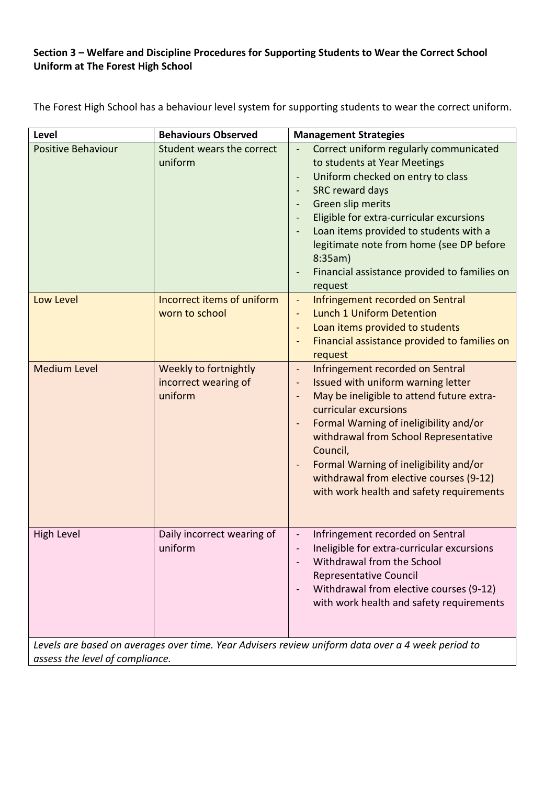# **Section 3 – Welfare and Discipline Procedures for Supporting Students to Wear the Correct School Uniform at The Forest High School**

The Forest High School has a behaviour level system for supporting students to wear the correct uniform.

| <b>Level</b>                                                                                                                         | <b>Behaviours Observed</b>                               | <b>Management Strategies</b>                                                                                                                                                                                                                                                                                                                                                                                                                                                                                          |  |  |
|--------------------------------------------------------------------------------------------------------------------------------------|----------------------------------------------------------|-----------------------------------------------------------------------------------------------------------------------------------------------------------------------------------------------------------------------------------------------------------------------------------------------------------------------------------------------------------------------------------------------------------------------------------------------------------------------------------------------------------------------|--|--|
| <b>Positive Behaviour</b>                                                                                                            | Student wears the correct<br>uniform                     | Correct uniform regularly communicated<br>to students at Year Meetings<br>Uniform checked on entry to class<br>$\overline{\phantom{0}}$<br><b>SRC reward days</b><br>$\overline{\phantom{m}}$<br>Green slip merits<br>$\overline{\phantom{a}}$<br>Eligible for extra-curricular excursions<br>$\overline{\phantom{a}}$<br>Loan items provided to students with a<br>legitimate note from home (see DP before<br>$8:35am$ )<br>Financial assistance provided to families on<br>$\qquad \qquad \blacksquare$<br>request |  |  |
| Low Level                                                                                                                            | Incorrect items of uniform<br>worn to school             | Infringement recorded on Sentral<br>$\blacksquare$<br><b>Lunch 1 Uniform Detention</b><br>$\qquad \qquad \blacksquare$<br>Loan items provided to students<br>$\qquad \qquad \blacksquare$<br>Financial assistance provided to families on<br>request                                                                                                                                                                                                                                                                  |  |  |
| <b>Medium Level</b>                                                                                                                  | Weekly to fortnightly<br>incorrect wearing of<br>uniform | Infringement recorded on Sentral<br>$\qquad \qquad -$<br>Issued with uniform warning letter<br>$\qquad \qquad -$<br>May be ineligible to attend future extra-<br>$\overline{\phantom{0}}$<br>curricular excursions<br>Formal Warning of ineligibility and/or<br>$\qquad \qquad \blacksquare$<br>withdrawal from School Representative<br>Council,<br>Formal Warning of ineligibility and/or<br>withdrawal from elective courses (9-12)<br>with work health and safety requirements                                    |  |  |
| High Level                                                                                                                           | Daily incorrect wearing of<br>uniform                    | Infringement recorded on Sentral<br>Ineligible for extra-curricular excursions<br>Withdrawal from the School<br>Representative Council<br>Withdrawal from elective courses (9-12)<br>$\qquad \qquad -$<br>with work health and safety requirements                                                                                                                                                                                                                                                                    |  |  |
| Levels are based on averages over time. Year Advisers review uniform data over a 4 week period to<br>assess the level of compliance. |                                                          |                                                                                                                                                                                                                                                                                                                                                                                                                                                                                                                       |  |  |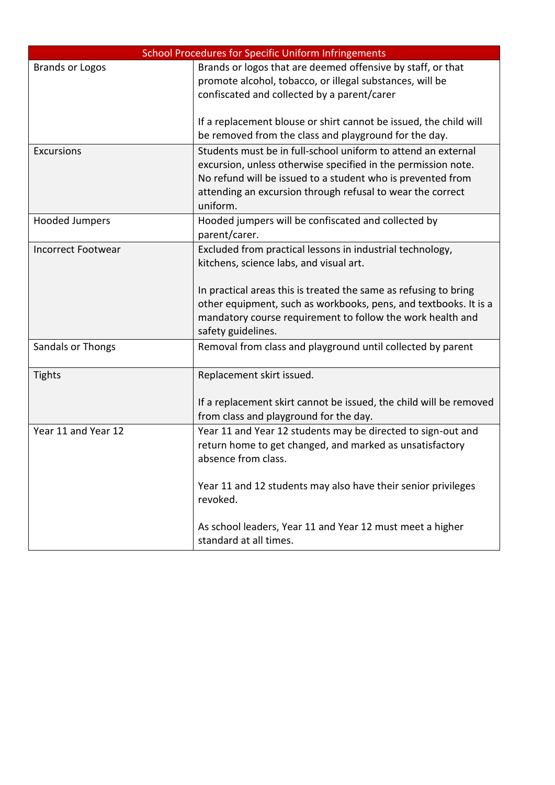| School Procedures for Specific Uniform Infringements |                                                                                                                                                                                                                                                                                                                                  |  |  |
|------------------------------------------------------|----------------------------------------------------------------------------------------------------------------------------------------------------------------------------------------------------------------------------------------------------------------------------------------------------------------------------------|--|--|
| <b>Brands or Logos</b>                               | Brands or logos that are deemed offensive by staff, or that<br>promote alcohol, tobacco, or illegal substances, will be<br>confiscated and collected by a parent/carer                                                                                                                                                           |  |  |
|                                                      | If a replacement blouse or shirt cannot be issued, the child will<br>be removed from the class and playground for the day.                                                                                                                                                                                                       |  |  |
| <b>Excursions</b>                                    | Students must be in full-school uniform to attend an external<br>excursion, unless otherwise specified in the permission note.<br>No refund will be issued to a student who is prevented from<br>attending an excursion through refusal to wear the correct<br>uniform.                                                          |  |  |
| <b>Hooded Jumpers</b>                                | Hooded jumpers will be confiscated and collected by<br>parent/carer.                                                                                                                                                                                                                                                             |  |  |
| <b>Incorrect Footwear</b>                            | Excluded from practical lessons in industrial technology,<br>kitchens, science labs, and visual art.<br>In practical areas this is treated the same as refusing to bring<br>other equipment, such as workbooks, pens, and textbooks. It is a<br>mandatory course requirement to follow the work health and<br>safety guidelines. |  |  |
| Sandals or Thongs                                    | Removal from class and playground until collected by parent                                                                                                                                                                                                                                                                      |  |  |
| <b>Tights</b>                                        | Replacement skirt issued.<br>If a replacement skirt cannot be issued, the child will be removed<br>from class and playground for the day.                                                                                                                                                                                        |  |  |
| Year 11 and Year 12                                  | Year 11 and Year 12 students may be directed to sign-out and<br>return home to get changed, and marked as unsatisfactory<br>absence from class.<br>Year 11 and 12 students may also have their senior privileges<br>revoked.                                                                                                     |  |  |
|                                                      | As school leaders, Year 11 and Year 12 must meet a higher<br>standard at all times.                                                                                                                                                                                                                                              |  |  |